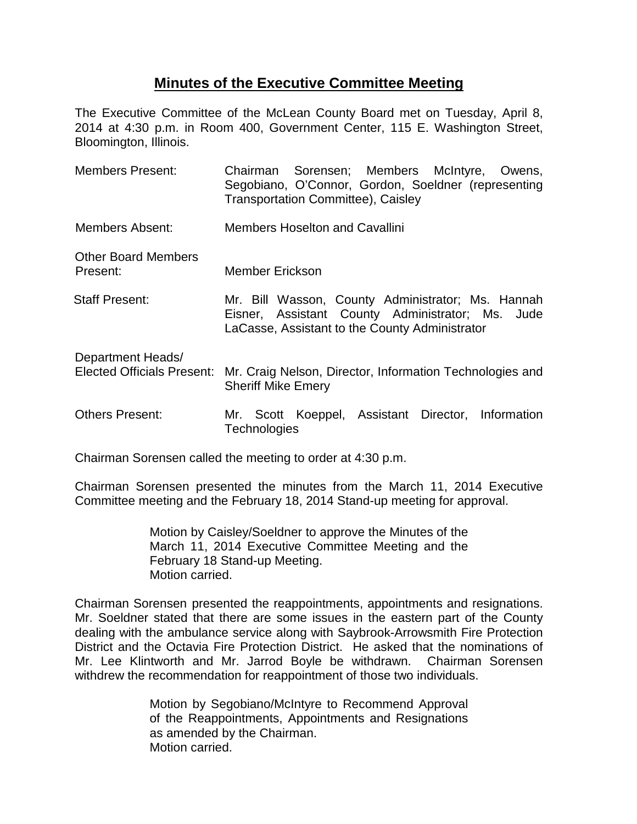## **Minutes of the Executive Committee Meeting**

The Executive Committee of the McLean County Board met on Tuesday, April 8, 2014 at 4:30 p.m. in Room 400, Government Center, 115 E. Washington Street, Bloomington, Illinois.

| <b>Members Present:</b>                                | Chairman Sorensen; Members McIntyre, Owens,<br>Segobiano, O'Connor, Gordon, Soeldner (representing<br><b>Transportation Committee), Caisley</b>         |
|--------------------------------------------------------|---------------------------------------------------------------------------------------------------------------------------------------------------------|
| Members Absent:                                        | <b>Members Hoselton and Cavallini</b>                                                                                                                   |
| <b>Other Board Members</b><br>Present:                 | <b>Member Erickson</b>                                                                                                                                  |
| <b>Staff Present:</b>                                  | Mr. Bill Wasson, County Administrator; Ms. Hannah<br>Eisner, Assistant County Administrator; Ms. Jude<br>LaCasse, Assistant to the County Administrator |
| Department Heads/<br><b>Elected Officials Present:</b> | Mr. Craig Nelson, Director, Information Technologies and<br><b>Sheriff Mike Emery</b>                                                                   |
| <b>Others Present:</b>                                 | Mr. Scott Koeppel, Assistant Director, Information<br>Technologies                                                                                      |

Chairman Sorensen called the meeting to order at 4:30 p.m.

Chairman Sorensen presented the minutes from the March 11, 2014 Executive Committee meeting and the February 18, 2014 Stand-up meeting for approval.

> Motion by Caisley/Soeldner to approve the Minutes of the March 11, 2014 Executive Committee Meeting and the February 18 Stand-up Meeting. Motion carried.

Chairman Sorensen presented the reappointments, appointments and resignations. Mr. Soeldner stated that there are some issues in the eastern part of the County dealing with the ambulance service along with Saybrook-Arrowsmith Fire Protection District and the Octavia Fire Protection District. He asked that the nominations of Mr. Lee Klintworth and Mr. Jarrod Boyle be withdrawn. Chairman Sorensen withdrew the recommendation for reappointment of those two individuals.

> Motion by Segobiano/McIntyre to Recommend Approval of the Reappointments, Appointments and Resignations as amended by the Chairman. Motion carried.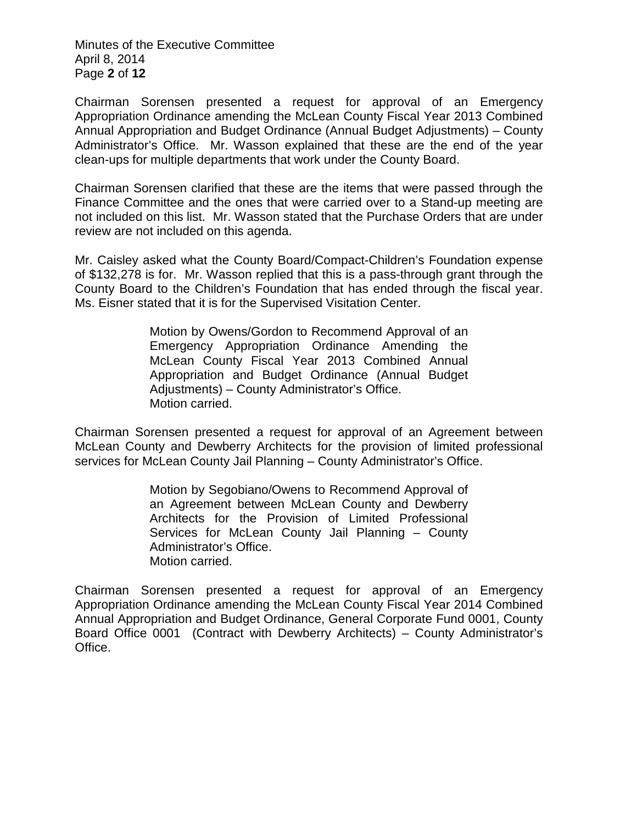Minutes of the Executive Committee April 8, 2014 Page **2** of **12**

Chairman Sorensen presented a request for approval of an Emergency Appropriation Ordinance amending the McLean County Fiscal Year 2013 Combined Annual Appropriation and Budget Ordinance (Annual Budget Adjustments) – County Administrator's Office. Mr. Wasson explained that these are the end of the year clean-ups for multiple departments that work under the County Board.

Chairman Sorensen clarified that these are the items that were passed through the Finance Committee and the ones that were carried over to a Stand-up meeting are not included on this list. Mr. Wasson stated that the Purchase Orders that are under review are not included on this agenda.

Mr. Caisley asked what the County Board/Compact-Children's Foundation expense of \$132,278 is for. Mr. Wasson replied that this is a pass-through grant through the County Board to the Children's Foundation that has ended through the fiscal year. Ms. Eisner stated that it is for the Supervised Visitation Center.

> Motion by Owens/Gordon to Recommend Approval of an Emergency Appropriation Ordinance Amending the McLean County Fiscal Year 2013 Combined Annual Appropriation and Budget Ordinance (Annual Budget Adjustments) – County Administrator's Office. Motion carried.

Chairman Sorensen presented a request for approval of an Agreement between McLean County and Dewberry Architects for the provision of limited professional services for McLean County Jail Planning – County Administrator's Office.

> Motion by Segobiano/Owens to Recommend Approval of an Agreement between McLean County and Dewberry Architects for the Provision of Limited Professional Services for McLean County Jail Planning – County Administrator's Office. Motion carried.

Chairman Sorensen presented a request for approval of an Emergency Appropriation Ordinance amending the McLean County Fiscal Year 2014 Combined Annual Appropriation and Budget Ordinance, General Corporate Fund 0001, County Board Office 0001 (Contract with Dewberry Architects) – County Administrator's Office.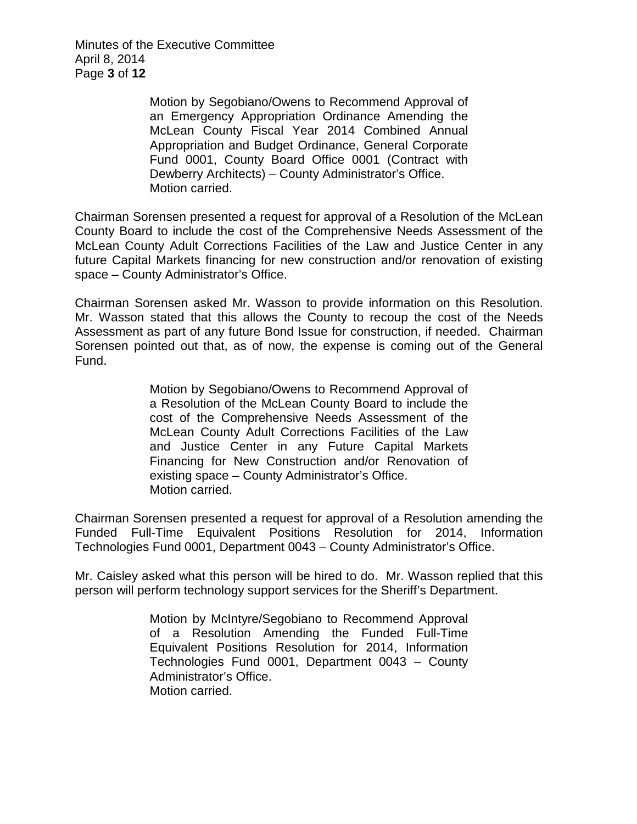Minutes of the Executive Committee April 8, 2014 Page **3** of **12**

> Motion by Segobiano/Owens to Recommend Approval of an Emergency Appropriation Ordinance Amending the McLean County Fiscal Year 2014 Combined Annual Appropriation and Budget Ordinance, General Corporate Fund 0001, County Board Office 0001 (Contract with Dewberry Architects) – County Administrator's Office. Motion carried.

Chairman Sorensen presented a request for approval of a Resolution of the McLean County Board to include the cost of the Comprehensive Needs Assessment of the McLean County Adult Corrections Facilities of the Law and Justice Center in any future Capital Markets financing for new construction and/or renovation of existing space – County Administrator's Office.

Chairman Sorensen asked Mr. Wasson to provide information on this Resolution. Mr. Wasson stated that this allows the County to recoup the cost of the Needs Assessment as part of any future Bond Issue for construction, if needed. Chairman Sorensen pointed out that, as of now, the expense is coming out of the General Fund.

> Motion by Segobiano/Owens to Recommend Approval of a Resolution of the McLean County Board to include the cost of the Comprehensive Needs Assessment of the McLean County Adult Corrections Facilities of the Law and Justice Center in any Future Capital Markets Financing for New Construction and/or Renovation of existing space – County Administrator's Office. Motion carried.

Chairman Sorensen presented a request for approval of a Resolution amending the Funded Full-Time Equivalent Positions Resolution for 2014, Information Technologies Fund 0001, Department 0043 – County Administrator's Office.

Mr. Caisley asked what this person will be hired to do. Mr. Wasson replied that this person will perform technology support services for the Sheriff's Department.

> Motion by McIntyre/Segobiano to Recommend Approval of a Resolution Amending the Funded Full-Time Equivalent Positions Resolution for 2014, Information Technologies Fund 0001, Department 0043 – County Administrator's Office. Motion carried.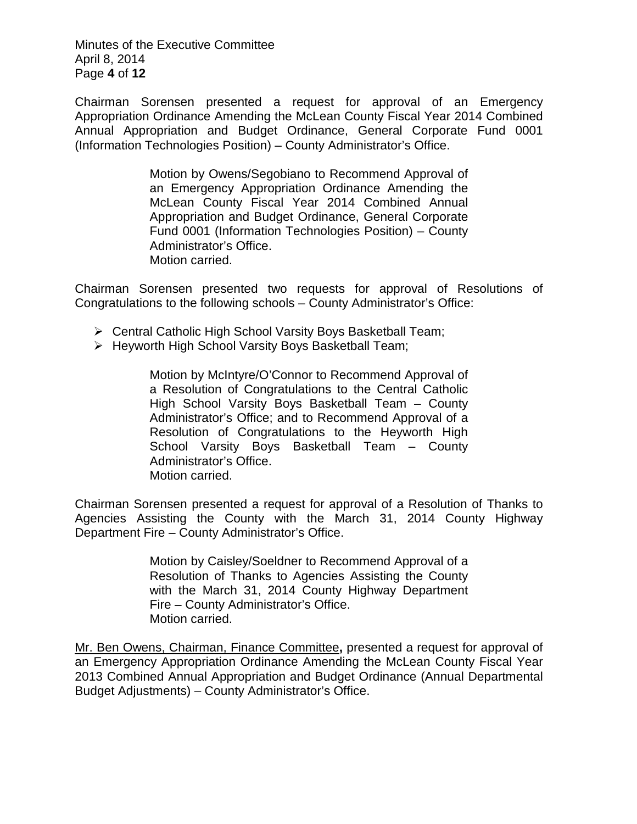Minutes of the Executive Committee April 8, 2014 Page **4** of **12**

Chairman Sorensen presented a request for approval of an Emergency Appropriation Ordinance Amending the McLean County Fiscal Year 2014 Combined Annual Appropriation and Budget Ordinance, General Corporate Fund 0001 (Information Technologies Position) – County Administrator's Office.

> Motion by Owens/Segobiano to Recommend Approval of an Emergency Appropriation Ordinance Amending the McLean County Fiscal Year 2014 Combined Annual Appropriation and Budget Ordinance, General Corporate Fund 0001 (Information Technologies Position) – County Administrator's Office. Motion carried.

Chairman Sorensen presented two requests for approval of Resolutions of Congratulations to the following schools – County Administrator's Office:

- Central Catholic High School Varsity Boys Basketball Team;
- $\triangleright$  Heyworth High School Varsity Boys Basketball Team;

Motion by McIntyre/O'Connor to Recommend Approval of a Resolution of Congratulations to the Central Catholic High School Varsity Boys Basketball Team – County Administrator's Office; and to Recommend Approval of a Resolution of Congratulations to the Heyworth High School Varsity Boys Basketball Team – County Administrator's Office. Motion carried.

Chairman Sorensen presented a request for approval of a Resolution of Thanks to Agencies Assisting the County with the March 31, 2014 County Highway Department Fire – County Administrator's Office.

> Motion by Caisley/Soeldner to Recommend Approval of a Resolution of Thanks to Agencies Assisting the County with the March 31, 2014 County Highway Department Fire – County Administrator's Office. Motion carried.

Mr. Ben Owens, Chairman, Finance Committee**,** presented a request for approval of an Emergency Appropriation Ordinance Amending the McLean County Fiscal Year 2013 Combined Annual Appropriation and Budget Ordinance (Annual Departmental Budget Adjustments) – County Administrator's Office.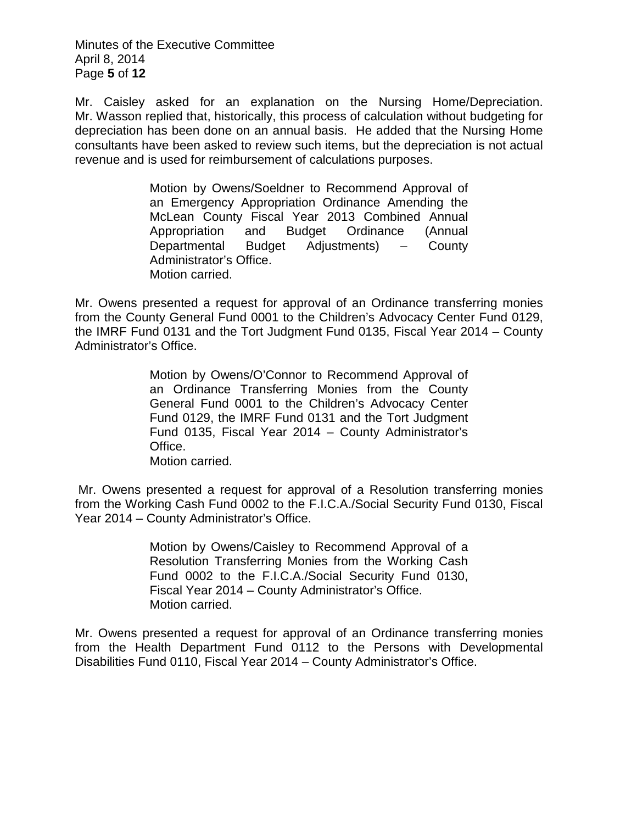Minutes of the Executive Committee April 8, 2014 Page **5** of **12**

Mr. Caisley asked for an explanation on the Nursing Home/Depreciation. Mr. Wasson replied that, historically, this process of calculation without budgeting for depreciation has been done on an annual basis. He added that the Nursing Home consultants have been asked to review such items, but the depreciation is not actual revenue and is used for reimbursement of calculations purposes.

> Motion by Owens/Soeldner to Recommend Approval of an Emergency Appropriation Ordinance Amending the McLean County Fiscal Year 2013 Combined Annual Appropriation and Budget Ordinance (Annual Departmental Budget Adjustments) – County Administrator's Office. Motion carried.

Mr. Owens presented a request for approval of an Ordinance transferring monies from the County General Fund 0001 to the Children's Advocacy Center Fund 0129, the IMRF Fund 0131 and the Tort Judgment Fund 0135, Fiscal Year 2014 – County Administrator's Office.

> Motion by Owens/O'Connor to Recommend Approval of an Ordinance Transferring Monies from the County General Fund 0001 to the Children's Advocacy Center Fund 0129, the IMRF Fund 0131 and the Tort Judgment Fund 0135, Fiscal Year 2014 – County Administrator's Office. Motion carried.

Mr. Owens presented a request for approval of a Resolution transferring monies from the Working Cash Fund 0002 to the F.I.C.A./Social Security Fund 0130, Fiscal Year 2014 – County Administrator's Office.

> Motion by Owens/Caisley to Recommend Approval of a Resolution Transferring Monies from the Working Cash Fund 0002 to the F.I.C.A./Social Security Fund 0130, Fiscal Year 2014 – County Administrator's Office. Motion carried.

Mr. Owens presented a request for approval of an Ordinance transferring monies from the Health Department Fund 0112 to the Persons with Developmental Disabilities Fund 0110, Fiscal Year 2014 – County Administrator's Office.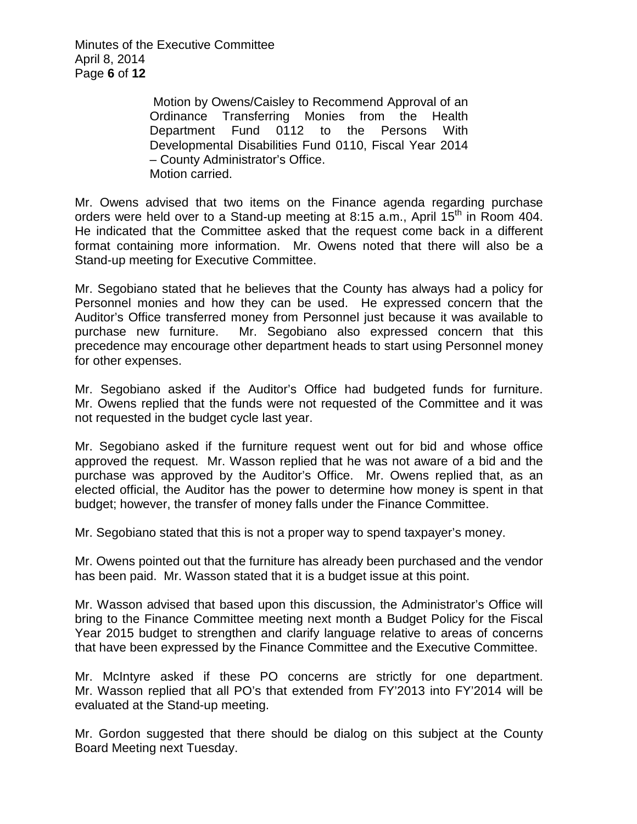Minutes of the Executive Committee April 8, 2014 Page **6** of **12**

> Motion by Owens/Caisley to Recommend Approval of an Ordinance Transferring Monies from the Health Department Fund 0112 to the Persons With Developmental Disabilities Fund 0110, Fiscal Year 2014 – County Administrator's Office. Motion carried.

Mr. Owens advised that two items on the Finance agenda regarding purchase orders were held over to a Stand-up meeting at 8:15 a.m., April 15<sup>th</sup> in Room 404. He indicated that the Committee asked that the request come back in a different format containing more information. Mr. Owens noted that there will also be a Stand-up meeting for Executive Committee.

Mr. Segobiano stated that he believes that the County has always had a policy for Personnel monies and how they can be used. He expressed concern that the Auditor's Office transferred money from Personnel just because it was available to purchase new furniture. Mr. Segobiano also expressed concern that this precedence may encourage other department heads to start using Personnel money for other expenses.

Mr. Segobiano asked if the Auditor's Office had budgeted funds for furniture. Mr. Owens replied that the funds were not requested of the Committee and it was not requested in the budget cycle last year.

Mr. Segobiano asked if the furniture request went out for bid and whose office approved the request. Mr. Wasson replied that he was not aware of a bid and the purchase was approved by the Auditor's Office. Mr. Owens replied that, as an elected official, the Auditor has the power to determine how money is spent in that budget; however, the transfer of money falls under the Finance Committee.

Mr. Segobiano stated that this is not a proper way to spend taxpayer's money.

Mr. Owens pointed out that the furniture has already been purchased and the vendor has been paid. Mr. Wasson stated that it is a budget issue at this point.

Mr. Wasson advised that based upon this discussion, the Administrator's Office will bring to the Finance Committee meeting next month a Budget Policy for the Fiscal Year 2015 budget to strengthen and clarify language relative to areas of concerns that have been expressed by the Finance Committee and the Executive Committee.

Mr. McIntyre asked if these PO concerns are strictly for one department. Mr. Wasson replied that all PO's that extended from FY'2013 into FY'2014 will be evaluated at the Stand-up meeting.

Mr. Gordon suggested that there should be dialog on this subject at the County Board Meeting next Tuesday.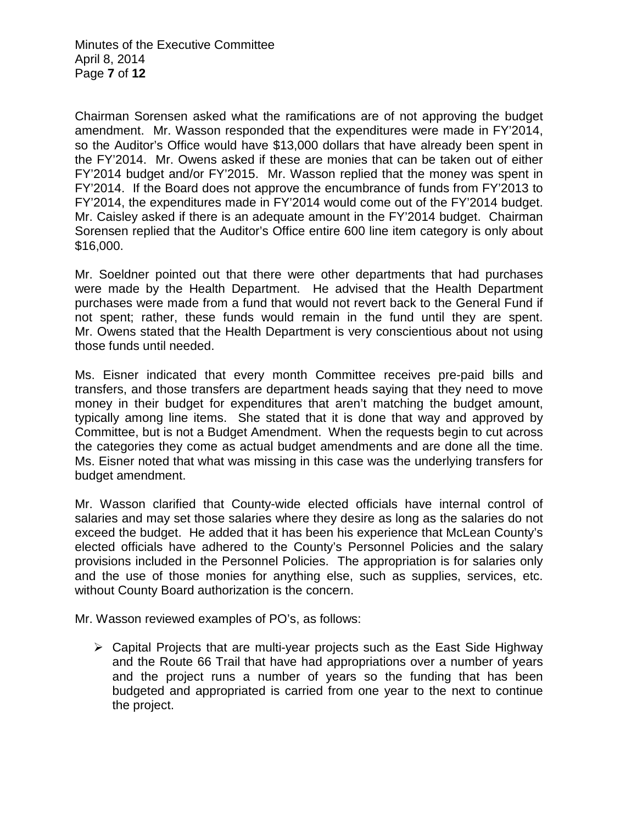Chairman Sorensen asked what the ramifications are of not approving the budget amendment. Mr. Wasson responded that the expenditures were made in FY'2014, so the Auditor's Office would have \$13,000 dollars that have already been spent in the FY'2014. Mr. Owens asked if these are monies that can be taken out of either FY'2014 budget and/or FY'2015. Mr. Wasson replied that the money was spent in FY'2014. If the Board does not approve the encumbrance of funds from FY'2013 to FY'2014, the expenditures made in FY'2014 would come out of the FY'2014 budget. Mr. Caisley asked if there is an adequate amount in the FY'2014 budget. Chairman Sorensen replied that the Auditor's Office entire 600 line item category is only about \$16,000.

Mr. Soeldner pointed out that there were other departments that had purchases were made by the Health Department. He advised that the Health Department purchases were made from a fund that would not revert back to the General Fund if not spent; rather, these funds would remain in the fund until they are spent. Mr. Owens stated that the Health Department is very conscientious about not using those funds until needed.

Ms. Eisner indicated that every month Committee receives pre-paid bills and transfers, and those transfers are department heads saying that they need to move money in their budget for expenditures that aren't matching the budget amount, typically among line items. She stated that it is done that way and approved by Committee, but is not a Budget Amendment. When the requests begin to cut across the categories they come as actual budget amendments and are done all the time. Ms. Eisner noted that what was missing in this case was the underlying transfers for budget amendment.

Mr. Wasson clarified that County-wide elected officials have internal control of salaries and may set those salaries where they desire as long as the salaries do not exceed the budget. He added that it has been his experience that McLean County's elected officials have adhered to the County's Personnel Policies and the salary provisions included in the Personnel Policies. The appropriation is for salaries only and the use of those monies for anything else, such as supplies, services, etc. without County Board authorization is the concern.

Mr. Wasson reviewed examples of PO's, as follows:

 $\triangleright$  Capital Projects that are multi-year projects such as the East Side Highway and the Route 66 Trail that have had appropriations over a number of years and the project runs a number of years so the funding that has been budgeted and appropriated is carried from one year to the next to continue the project.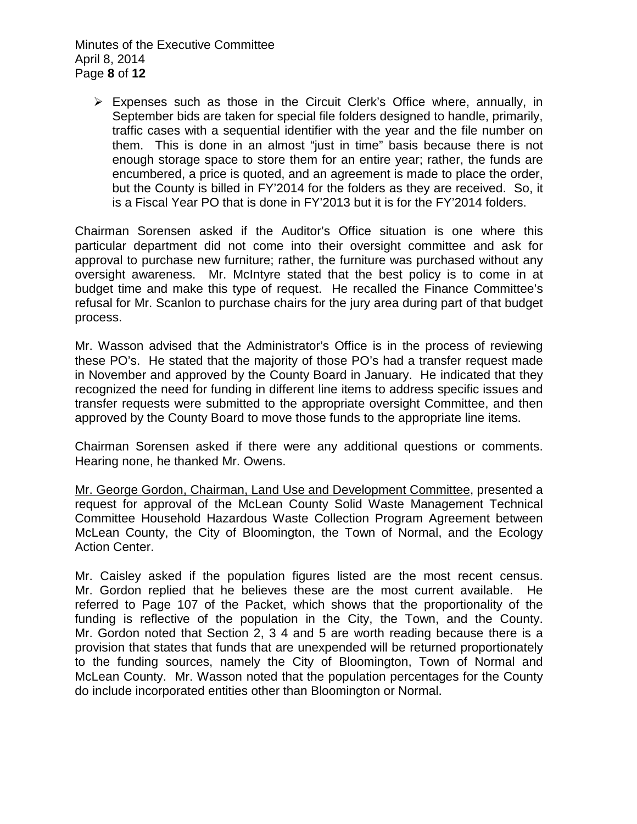Minutes of the Executive Committee April 8, 2014 Page **8** of **12**

 $\triangleright$  Expenses such as those in the Circuit Clerk's Office where, annually, in September bids are taken for special file folders designed to handle, primarily, traffic cases with a sequential identifier with the year and the file number on them. This is done in an almost "just in time" basis because there is not enough storage space to store them for an entire year; rather, the funds are encumbered, a price is quoted, and an agreement is made to place the order, but the County is billed in FY'2014 for the folders as they are received. So, it is a Fiscal Year PO that is done in FY'2013 but it is for the FY'2014 folders.

Chairman Sorensen asked if the Auditor's Office situation is one where this particular department did not come into their oversight committee and ask for approval to purchase new furniture; rather, the furniture was purchased without any oversight awareness. Mr. McIntyre stated that the best policy is to come in at budget time and make this type of request. He recalled the Finance Committee's refusal for Mr. Scanlon to purchase chairs for the jury area during part of that budget process.

Mr. Wasson advised that the Administrator's Office is in the process of reviewing these PO's. He stated that the majority of those PO's had a transfer request made in November and approved by the County Board in January. He indicated that they recognized the need for funding in different line items to address specific issues and transfer requests were submitted to the appropriate oversight Committee, and then approved by the County Board to move those funds to the appropriate line items.

Chairman Sorensen asked if there were any additional questions or comments. Hearing none, he thanked Mr. Owens.

Mr. George Gordon, Chairman, Land Use and Development Committee, presented a request for approval of the McLean County Solid Waste Management Technical Committee Household Hazardous Waste Collection Program Agreement between McLean County, the City of Bloomington, the Town of Normal, and the Ecology Action Center.

Mr. Caisley asked if the population figures listed are the most recent census. Mr. Gordon replied that he believes these are the most current available. He referred to Page 107 of the Packet, which shows that the proportionality of the funding is reflective of the population in the City, the Town, and the County. Mr. Gordon noted that Section 2, 3 4 and 5 are worth reading because there is a provision that states that funds that are unexpended will be returned proportionately to the funding sources, namely the City of Bloomington, Town of Normal and McLean County. Mr. Wasson noted that the population percentages for the County do include incorporated entities other than Bloomington or Normal.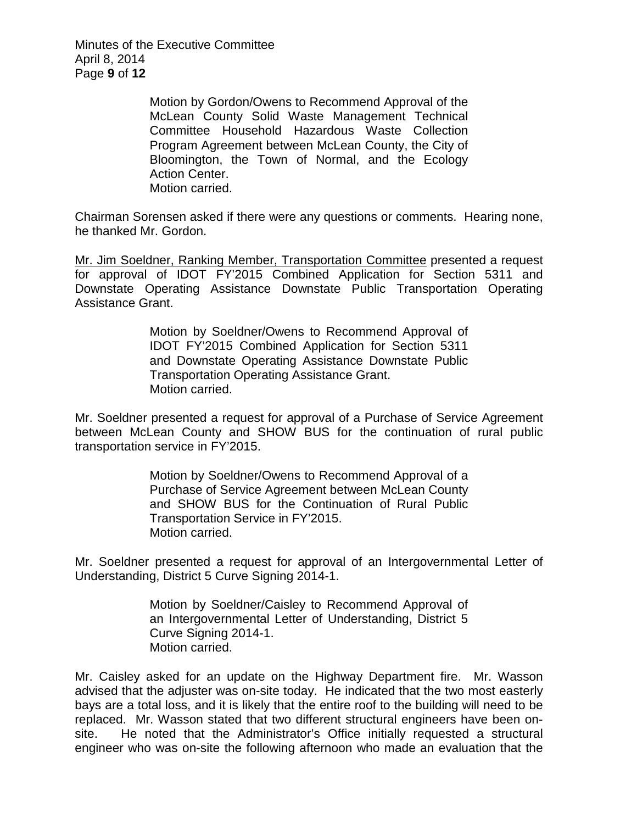Minutes of the Executive Committee April 8, 2014 Page **9** of **12**

> Motion by Gordon/Owens to Recommend Approval of the McLean County Solid Waste Management Technical Committee Household Hazardous Waste Collection Program Agreement between McLean County, the City of Bloomington, the Town of Normal, and the Ecology Action Center. Motion carried.

Chairman Sorensen asked if there were any questions or comments. Hearing none, he thanked Mr. Gordon.

Mr. Jim Soeldner, Ranking Member, Transportation Committee presented a request for approval of IDOT FY'2015 Combined Application for Section 5311 and Downstate Operating Assistance Downstate Public Transportation Operating Assistance Grant.

> Motion by Soeldner/Owens to Recommend Approval of IDOT FY'2015 Combined Application for Section 5311 and Downstate Operating Assistance Downstate Public Transportation Operating Assistance Grant. Motion carried.

Mr. Soeldner presented a request for approval of a Purchase of Service Agreement between McLean County and SHOW BUS for the continuation of rural public transportation service in FY'2015.

> Motion by Soeldner/Owens to Recommend Approval of a Purchase of Service Agreement between McLean County and SHOW BUS for the Continuation of Rural Public Transportation Service in FY'2015. Motion carried.

Mr. Soeldner presented a request for approval of an Intergovernmental Letter of Understanding, District 5 Curve Signing 2014-1.

> Motion by Soeldner/Caisley to Recommend Approval of an Intergovernmental Letter of Understanding, District 5 Curve Signing 2014-1. Motion carried.

Mr. Caisley asked for an update on the Highway Department fire. Mr. Wasson advised that the adjuster was on-site today. He indicated that the two most easterly bays are a total loss, and it is likely that the entire roof to the building will need to be replaced. Mr. Wasson stated that two different structural engineers have been onsite. He noted that the Administrator's Office initially requested a structural engineer who was on-site the following afternoon who made an evaluation that the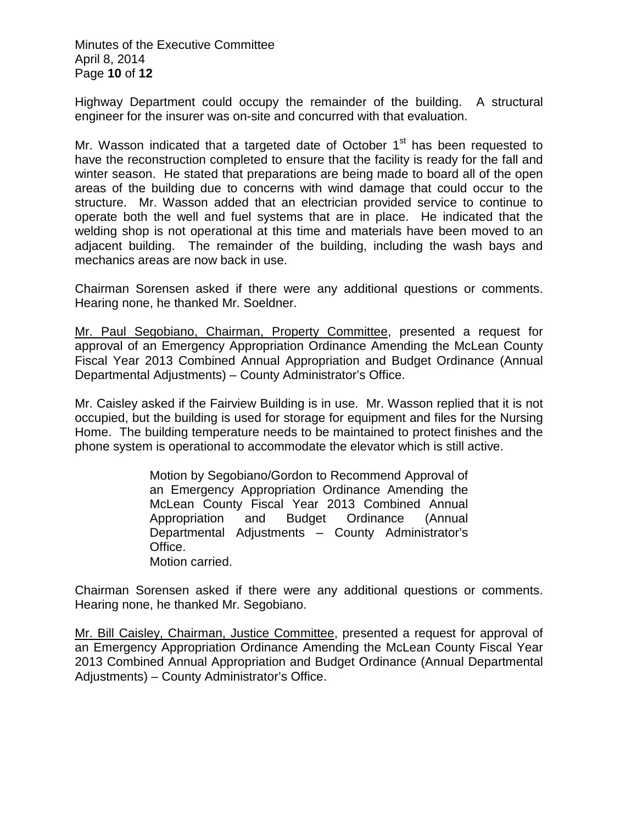Minutes of the Executive Committee April 8, 2014 Page **10** of **12**

Highway Department could occupy the remainder of the building. A structural engineer for the insurer was on-site and concurred with that evaluation.

Mr. Wasson indicated that a targeted date of October  $1<sup>st</sup>$  has been requested to have the reconstruction completed to ensure that the facility is ready for the fall and winter season. He stated that preparations are being made to board all of the open areas of the building due to concerns with wind damage that could occur to the structure. Mr. Wasson added that an electrician provided service to continue to operate both the well and fuel systems that are in place. He indicated that the welding shop is not operational at this time and materials have been moved to an adjacent building. The remainder of the building, including the wash bays and mechanics areas are now back in use.

Chairman Sorensen asked if there were any additional questions or comments. Hearing none, he thanked Mr. Soeldner.

Mr. Paul Segobiano, Chairman, Property Committee, presented a request for approval of an Emergency Appropriation Ordinance Amending the McLean County Fiscal Year 2013 Combined Annual Appropriation and Budget Ordinance (Annual Departmental Adjustments) – County Administrator's Office.

Mr. Caisley asked if the Fairview Building is in use. Mr. Wasson replied that it is not occupied, but the building is used for storage for equipment and files for the Nursing Home. The building temperature needs to be maintained to protect finishes and the phone system is operational to accommodate the elevator which is still active.

> Motion by Segobiano/Gordon to Recommend Approval of an Emergency Appropriation Ordinance Amending the McLean County Fiscal Year 2013 Combined Annual Appropriation and Budget Ordinance (Annual Departmental Adjustments – County Administrator's Office. Motion carried.

Chairman Sorensen asked if there were any additional questions or comments. Hearing none, he thanked Mr. Segobiano.

Mr. Bill Caisley, Chairman, Justice Committee, presented a request for approval of an Emergency Appropriation Ordinance Amending the McLean County Fiscal Year 2013 Combined Annual Appropriation and Budget Ordinance (Annual Departmental Adjustments) – County Administrator's Office.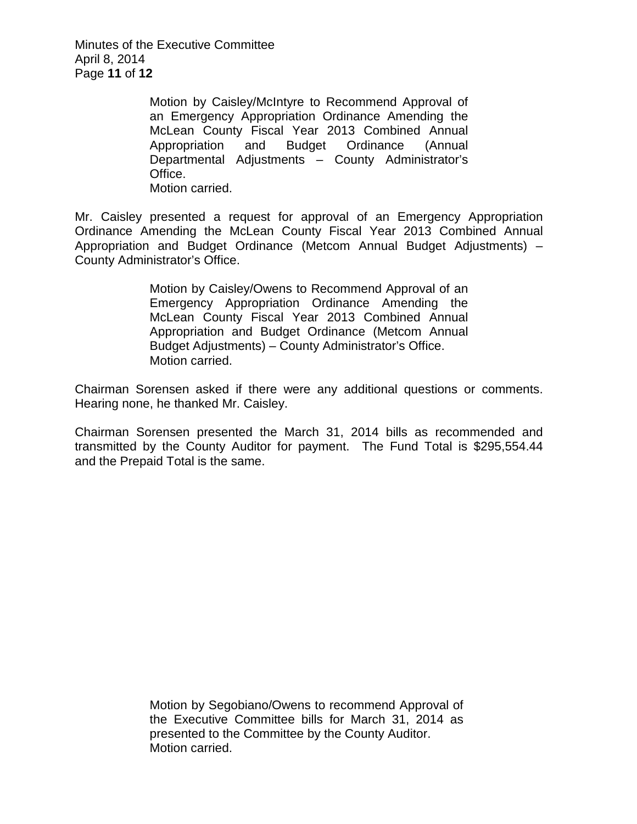Minutes of the Executive Committee April 8, 2014 Page **11** of **12**

> Motion by Caisley/McIntyre to Recommend Approval of an Emergency Appropriation Ordinance Amending the McLean County Fiscal Year 2013 Combined Annual Appropriation and Budget Ordinance (Annual Departmental Adjustments – County Administrator's Office. Motion carried.

Mr. Caisley presented a request for approval of an Emergency Appropriation Ordinance Amending the McLean County Fiscal Year 2013 Combined Annual Appropriation and Budget Ordinance (Metcom Annual Budget Adjustments) – County Administrator's Office.

> Motion by Caisley/Owens to Recommend Approval of an Emergency Appropriation Ordinance Amending the McLean County Fiscal Year 2013 Combined Annual Appropriation and Budget Ordinance (Metcom Annual Budget Adjustments) – County Administrator's Office. Motion carried.

Chairman Sorensen asked if there were any additional questions or comments. Hearing none, he thanked Mr. Caisley.

Chairman Sorensen presented the March 31, 2014 bills as recommended and transmitted by the County Auditor for payment. The Fund Total is \$295,554.44 and the Prepaid Total is the same.

> Motion by Segobiano/Owens to recommend Approval of the Executive Committee bills for March 31, 2014 as presented to the Committee by the County Auditor. Motion carried.